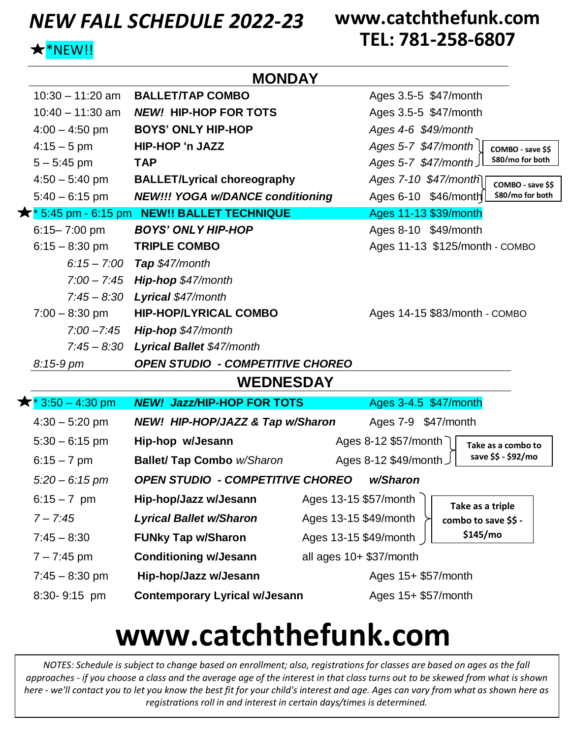### *NEW FALL SCHEDULE 2022-23*

### **www.catchthefunk.com TEL: 781-258-6807**

**Take as a triple combo to save \$\$ - \$145/mo**

### $\bigstar$

| $\bigstar^*$ NEW!! |                                            | I EL. /01-2J0-00U/                          |  |  |  |  |
|--------------------|--------------------------------------------|---------------------------------------------|--|--|--|--|
| <b>MONDAY</b>      |                                            |                                             |  |  |  |  |
| $10:30 - 11:20$ am | <b>BALLET/TAP COMBO</b>                    | Ages 3.5-5 \$47/month                       |  |  |  |  |
| $10:40 - 11:30$ am | <b>NEW! HIP-HOP FOR TOTS</b>               | Ages 3.5-5 \$47/month                       |  |  |  |  |
| $4:00 - 4:50$ pm   | <b>BOYS' ONLY HIP-HOP</b>                  | Ages 4-6 \$49/month                         |  |  |  |  |
| $4:15-5$ pm        | HIP-HOP 'n JAZZ                            | Ages 5-7 \$47/month<br>COMBO - save \$\$    |  |  |  |  |
| $5 - 5:45$ pm      | <b>TAP</b>                                 | \$80/mo for both<br>Ages 5-7 \$47/month     |  |  |  |  |
| $4:50 - 5:40$ pm   | <b>BALLET/Lyrical choreography</b>         | Ages 7-10 \$47/month<br>COMBO - save \$\$   |  |  |  |  |
| $5:40 - 6:15$ pm   | <b>NEW!!! YOGA w/DANCE conditioning</b>    | \$80/mo for both<br>Ages 6-10 \$46/month    |  |  |  |  |
|                    | * 5:45 pm - 6:15 pm NEW!! BALLET TECHNIQUE | Ages 11-13 \$39/month                       |  |  |  |  |
| 6:15-7:00 pm       | <b>BOYS' ONLY HIP-HOP</b>                  | Ages 8-10 \$49/month                        |  |  |  |  |
| $6:15 - 8:30$ pm   | <b>TRIPLE COMBO</b>                        | Ages 11-13 \$125/month - COMBO              |  |  |  |  |
|                    | 6:15 - 7:00 Tap $$47/m$ onth               |                                             |  |  |  |  |
|                    | 7:00 - 7:45 Hip-hop \$47/month             |                                             |  |  |  |  |
| $7:45 - 8:30$      | Lyrical \$47/month                         |                                             |  |  |  |  |
| $7:00 - 8:30$ pm   | <b>HIP-HOP/LYRICAL COMBO</b>               | Ages 14-15 \$83/month - COMBO               |  |  |  |  |
| $7:00 - 7:45$      | Hip-hop \$47/month                         |                                             |  |  |  |  |
| $7:45 - 8:30$      | <b>Lyrical Ballet \$47/month</b>           |                                             |  |  |  |  |
| 8:15-9 pm          | <b>OPEN STUDIO - COMPETITIVE CHOREO</b>    |                                             |  |  |  |  |
| <b>WEDNESDAY</b>   |                                            |                                             |  |  |  |  |
| $*3:50 - 4:30$ pm  | <b>NEW! Jazz/HIP-HOP FOR TOTS</b>          | Ages 3-4.5 \$47/month                       |  |  |  |  |
| 4:30 – 5:20 pm     | NEW! HIP-HOP/JAZZ & Tap w/Sharon           | Ages 7-9 \$47/month                         |  |  |  |  |
| $5:30 - 6:15$ pm   | Hip-hop w/Jesann                           | Ages 8-12 \$57/month<br>Take as a combo to  |  |  |  |  |
| $6:15 - 7$ pm      | <b>Ballet/ Tap Combo w/Sharon</b>          | save \$\$ - \$92/mo<br>Ages 8-12 \$49/month |  |  |  |  |
|                    |                                            |                                             |  |  |  |  |

- *5:20 – 6:15 pm OPEN STUDIO - COMPETITIVE CHOREO w/Sharon*
- 6:15 *–* 7 pm **Hip-hop/Jazz w/Jesann** Ages 13-15 \$57/month
- *7 – 7:45 Lyrical Ballet w/Sharon* Ages 13-15 \$49/month
- 7:45 8:30 **FUNky Tap w/Sharon** Ages 13-15 \$49/month 7 – 7:45 pm **Conditioning w/Jesann** all ages 10+ \$37/month
- 7:45 8:30 pm **Hip-hop/Jazz w/Jesann Ages 15+ \$57/month**
- 
- 8:30- 9:15 pm **Contemporary Lyrical w/Jesann** Ages 15+ \$57/month

## **www.catchthefunk.com**

*NOTES: Schedule is subject to change based on enrollment; also, registrations for classes are based on ages as the fall approaches - if you choose a class and the average age of the interest in that class turns out to be skewed from what is shown here - we'll contact you to let you know the best fit for your child's interest and age. Ages can vary from what as shown here as registrations roll in and interest in certain days/times is determined.*